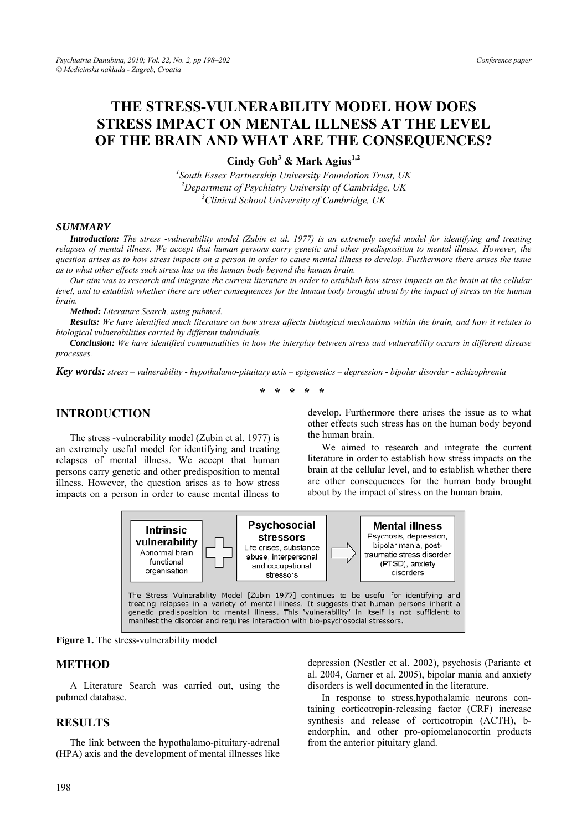# **THE STRESS-VULNERABILITY MODEL HOW DOES STRESS IMPACT ON MENTAL ILLNESS AT THE LEVEL OF THE BRAIN AND WHAT ARE THE CONSEQUENCES?**

**Cindy Goh<sup>3</sup> & Mark Agius1,2**

*1 South Essex Partnership University Foundation Trust, UK*  <sup>2</sup> Department of Psychiatry University of Cambridge, UK <sup>3</sup>Clinical School University of Cambridge, UK *Clinical School University of Cambridge, UK* 

#### *SUMMARY*

*Introduction: The stress -vulnerability model (Zubin et al. 1977) is an extremely useful model for identifying and treating relapses of mental illness. We accept that human persons carry genetic and other predisposition to mental illness. However, the question arises as to how stress impacts on a person in order to cause mental illness to develop. Furthermore there arises the issue as to what other effects such stress has on the human body beyond the human brain.* 

*Our aim was to research and integrate the current literature in order to establish how stress impacts on the brain at the cellular level, and to establish whether there are other consequences for the human body brought about by the impact of stress on the human brain.* 

*Method: Literature Search, using pubmed.* 

*Results: We have identified much literature on how stress affects biological mechanisms within the brain, and how it relates to biological vulnerabilities carried by different individuals.* 

*Conclusion: We have identified communalities in how the interplay between stress and vulnerability occurs in different disease processes.* 

*Key words: stress – vulnerability - hypothalamo-pituitary axis – epigenetics – depression - bipolar disorder - schizophrenia* 

**\* \* \* \* \*** 

# **INTRODUCTION**

The stress -vulnerability model (Zubin et al. 1977) is an extremely useful model for identifying and treating relapses of mental illness. We accept that human persons carry genetic and other predisposition to mental illness. However, the question arises as to how stress impacts on a person in order to cause mental illness to

develop. Furthermore there arises the issue as to what other effects such stress has on the human body beyond the human brain.

We aimed to research and integrate the current literature in order to establish how stress impacts on the brain at the cellular level, and to establish whether there are other consequences for the human body brought about by the impact of stress on the human brain.



**Figure 1.** The stress-vulnerability model

### **METHOD**

A Literature Search was carried out, using the pubmed database.

### **RESULTS**

The link between the hypothalamo-pituitary-adrenal (HPA) axis and the development of mental illnesses like depression (Nestler et al. 2002), psychosis (Pariante et al. 2004, Garner et al. 2005), bipolar mania and anxiety disorders is well documented in the literature.

In response to stress,hypothalamic neurons containing corticotropin-releasing factor (CRF) increase synthesis and release of corticotropin (ACTH), bendorphin, and other pro-opiomelanocortin products from the anterior pituitary gland.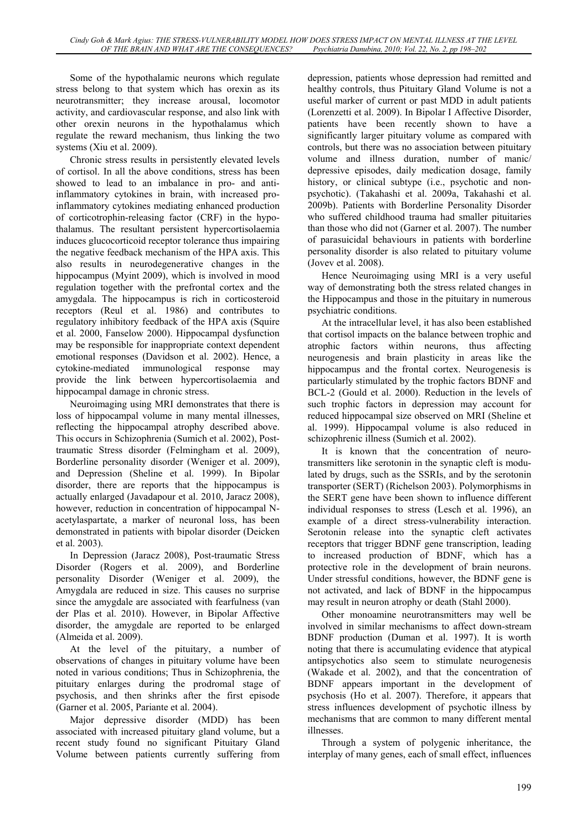Some of the hypothalamic neurons which regulate stress belong to that system which has orexin as its neurotransmitter; they increase arousal, locomotor activity, and cardiovascular response, and also link with other orexin neurons in the hypothalamus which regulate the reward mechanism, thus linking the two systems (Xiu et al. 2009).

Chronic stress results in persistently elevated levels of cortisol. In all the above conditions, stress has been showed to lead to an imbalance in pro- and antiinflammatory cytokines in brain, with increased proinflammatory cytokines mediating enhanced production of corticotrophin-releasing factor (CRF) in the hypothalamus. The resultant persistent hypercortisolaemia induces glucocorticoid receptor tolerance thus impairing the negative feedback mechanism of the HPA axis. This also results in neurodegenerative changes in the hippocampus (Myint 2009), which is involved in mood regulation together with the prefrontal cortex and the amygdala. The hippocampus is rich in corticosteroid receptors (Reul et al. 1986) and contributes to regulatory inhibitory feedback of the HPA axis (Squire et al. 2000, Fanselow 2000). Hippocampal dysfunction may be responsible for inappropriate context dependent emotional responses (Davidson et al. 2002). Hence, a cytokine-mediated immunological response may provide the link between hypercortisolaemia and hippocampal damage in chronic stress.

Neuroimaging using MRI demonstrates that there is loss of hippocampal volume in many mental illnesses, reflecting the hippocampal atrophy described above. This occurs in Schizophrenia (Sumich et al. 2002), Posttraumatic Stress disorder (Felmingham et al. 2009), Borderline personality disorder (Weniger et al. 2009), and Depression (Sheline et al. 1999). In Bipolar disorder, there are reports that the hippocampus is actually enlarged (Javadapour et al. 2010, Jaracz 2008), however, reduction in concentration of hippocampal Nacetylaspartate, a marker of neuronal loss, has been demonstrated in patients with bipolar disorder (Deicken et al. 2003).

In Depression (Jaracz 2008), Post-traumatic Stress Disorder (Rogers et al. 2009), and Borderline personality Disorder (Weniger et al. 2009), the Amygdala are reduced in size. This causes no surprise since the amygdale are associated with fearfulness (van der Plas et al. 2010). However, in Bipolar Affective disorder, the amygdale are reported to be enlarged (Almeida et al. 2009).

At the level of the pituitary, a number of observations of changes in pituitary volume have been noted in various conditions; Thus in Schizophrenia, the pituitary enlarges during the prodromal stage of psychosis, and then shrinks after the first episode (Garner et al. 2005, Pariante et al. 2004).

Major depressive disorder (MDD) has been associated with increased pituitary gland volume, but a recent study found no significant Pituitary Gland Volume between patients currently suffering from depression, patients whose depression had remitted and healthy controls, thus Pituitary Gland Volume is not a useful marker of current or past MDD in adult patients (Lorenzetti et al. 2009). In Bipolar I Affective Disorder, patients have been recently shown to have a significantly larger pituitary volume as compared with controls, but there was no association between pituitary volume and illness duration, number of manic/ depressive episodes, daily medication dosage, family history, or clinical subtype (i.e., psychotic and nonpsychotic). (Takahashi et al. 2009a, Takahashi et al. 2009b). Patients with Borderline Personality Disorder who suffered childhood trauma had smaller pituitaries than those who did not (Garner et al. 2007). The number of parasuicidal behaviours in patients with borderline personality disorder is also related to pituitary volume (Jovev et al. 2008).

Hence Neuroimaging using MRI is a very useful way of demonstrating both the stress related changes in the Hippocampus and those in the pituitary in numerous psychiatric conditions.

At the intracellular level, it has also been established that cortisol impacts on the balance between trophic and atrophic factors within neurons, thus affecting neurogenesis and brain plasticity in areas like the hippocampus and the frontal cortex. Neurogenesis is particularly stimulated by the trophic factors BDNF and BCL-2 (Gould et al. 2000). Reduction in the levels of such trophic factors in depression may account for reduced hippocampal size observed on MRI (Sheline et al. 1999). Hippocampal volume is also reduced in schizophrenic illness (Sumich et al. 2002).

It is known that the concentration of neurotransmitters like serotonin in the synaptic cleft is modulated by drugs, such as the SSRIs, and by the serotonin transporter (SERT) (Richelson 2003). Polymorphisms in the SERT gene have been shown to influence different individual responses to stress (Lesch et al. 1996), an example of a direct stress-vulnerability interaction. Serotonin release into the synaptic cleft activates receptors that trigger BDNF gene transcription, leading to increased production of BDNF, which has a protective role in the development of brain neurons. Under stressful conditions, however, the BDNF gene is not activated, and lack of BDNF in the hippocampus may result in neuron atrophy or death (Stahl 2000).

Other monoamine neurotransmitters may well be involved in similar mechanisms to affect down-stream BDNF production (Duman et al. 1997). It is worth noting that there is accumulating evidence that atypical antipsychotics also seem to stimulate neurogenesis (Wakade et al. 2002), and that the concentration of BDNF appears important in the development of psychosis (Ho et al. 2007). Therefore, it appears that stress influences development of psychotic illness by mechanisms that are common to many different mental illnesses.

Through a system of polygenic inheritance, the interplay of many genes, each of small effect, influences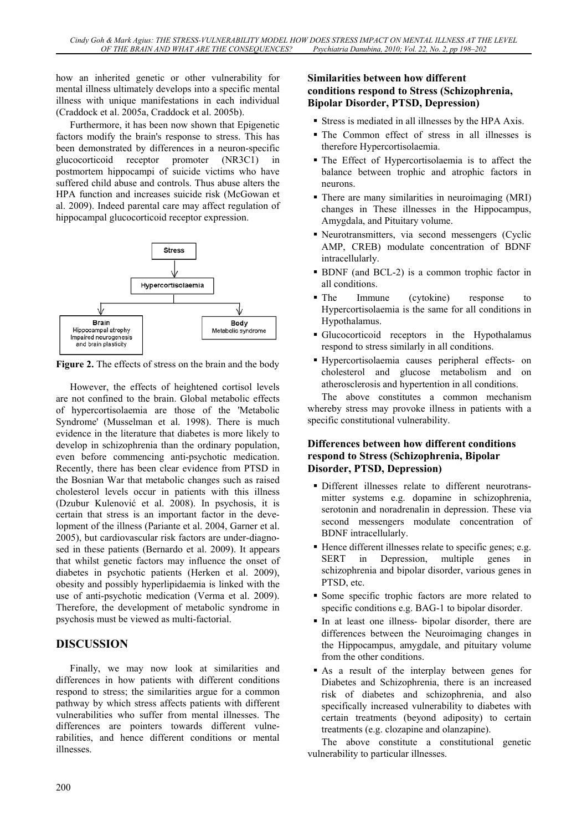how an inherited genetic or other vulnerability for mental illness ultimately develops into a specific mental illness with unique manifestations in each individual (Craddock et al. 2005a, Craddock et al. 2005b).

Furthermore, it has been now shown that Epigenetic factors modify the brain's response to stress. This has been demonstrated by differences in a neuron-specific glucocorticoid receptor promoter (NR3C1) in postmortem hippocampi of suicide victims who have suffered child abuse and controls. Thus abuse alters the HPA function and increases suicide risk (McGowan et al. 2009). Indeed parental care may affect regulation of hippocampal glucocorticoid receptor expression.



**Figure 2.** The effects of stress on the brain and the body

However, the effects of heightened cortisol levels are not confined to the brain. Global metabolic effects of hypercortisolaemia are those of the 'Metabolic Syndrome' (Musselman et al. 1998). There is much evidence in the literature that diabetes is more likely to develop in schizophrenia than the ordinary population, even before commencing anti-psychotic medication. Recently, there has been clear evidence from PTSD in the Bosnian War that metabolic changes such as raised cholesterol levels occur in patients with this illness (Dzubur Kulenović et al. 2008). In psychosis, it is certain that stress is an important factor in the development of the illness (Pariante et al. 2004, Garner et al. 2005), but cardiovascular risk factors are under-diagnosed in these patients (Bernardo et al. 2009). It appears that whilst genetic factors may influence the onset of diabetes in psychotic patients (Herken et al. 2009), obesity and possibly hyperlipidaemia is linked with the use of anti-psychotic medication (Verma et al. 2009). Therefore, the development of metabolic syndrome in psychosis must be viewed as multi-factorial.

# **DISCUSSION**

Finally, we may now look at similarities and differences in how patients with different conditions respond to stress; the similarities argue for a common pathway by which stress affects patients with different vulnerabilities who suffer from mental illnesses. The differences are pointers towards different vulnerabilities, and hence different conditions or mental illnesses.

### **Similarities between how different conditions respond to Stress (Schizophrenia, Bipolar Disorder, PTSD, Depression)**

- Stress is mediated in all illnesses by the HPA Axis.
- The Common effect of stress in all illnesses is therefore Hypercortisolaemia.
- The Effect of Hypercortisolaemia is to affect the balance between trophic and atrophic factors in neurons.
- There are many similarities in neuroimaging (MRI) changes in These illnesses in the Hippocampus, Amygdala, and Pituitary volume.
- Neurotransmitters, via second messengers (Cyclic AMP, CREB) modulate concentration of BDNF intracellularly.
- BDNF (and BCL-2) is a common trophic factor in all conditions.
- The Immune (cytokine) response to Hypercortisolaemia is the same for all conditions in Hypothalamus.
- Glucocorticoid receptors in the Hypothalamus respond to stress similarly in all conditions.
- Hypercortisolaemia causes peripheral effects- on cholesterol and glucose metabolism and on atherosclerosis and hypertention in all conditions.

The above constitutes a common mechanism whereby stress may provoke illness in patients with a specific constitutional vulnerability.

# **Differences between how different conditions respond to Stress (Schizophrenia, Bipolar Disorder, PTSD, Depression)**

- Different illnesses relate to different neurotransmitter systems e.g. dopamine in schizophrenia, serotonin and noradrenalin in depression. These via second messengers modulate concentration of BDNF intracellularly.
- $\blacksquare$  Hence different illnesses relate to specific genes; e.g. SERT in Depression, multiple genes in schizophrenia and bipolar disorder, various genes in PTSD, etc.
- Some specific trophic factors are more related to specific conditions e.g. BAG-1 to bipolar disorder.
- In at least one illness- bipolar disorder, there are differences between the Neuroimaging changes in the Hippocampus, amygdale, and pituitary volume from the other conditions.
- As a result of the interplay between genes for Diabetes and Schizophrenia, there is an increased risk of diabetes and schizophrenia, and also specifically increased vulnerability to diabetes with certain treatments (beyond adiposity) to certain treatments (e.g. clozapine and olanzapine).

The above constitute a constitutional genetic vulnerability to particular illnesses.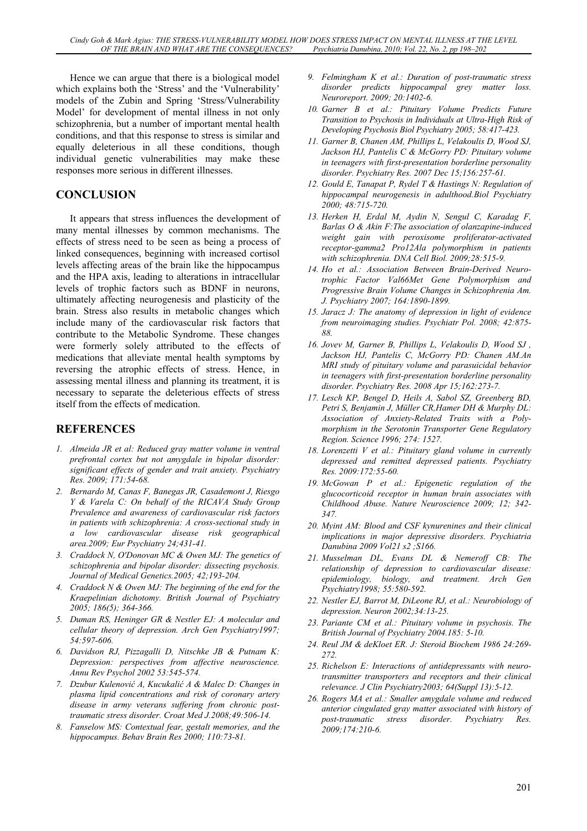Hence we can argue that there is a biological model which explains both the 'Stress' and the 'Vulnerability' models of the Zubin and Spring 'Stress/Vulnerability Model' for development of mental illness in not only schizophrenia, but a number of important mental health conditions, and that this response to stress is similar and equally deleterious in all these conditions, though individual genetic vulnerabilities may make these responses more serious in different illnesses.

## **CONCLUSION**

It appears that stress influences the development of many mental illnesses by common mechanisms. The effects of stress need to be seen as being a process of linked consequences, beginning with increased cortisol levels affecting areas of the brain like the hippocampus and the HPA axis, leading to alterations in intracellular levels of trophic factors such as BDNF in neurons, ultimately affecting neurogenesis and plasticity of the brain. Stress also results in metabolic changes which include many of the cardiovascular risk factors that contribute to the Metabolic Syndrome. These changes were formerly solely attributed to the effects of medications that alleviate mental health symptoms by reversing the atrophic effects of stress. Hence, in assessing mental illness and planning its treatment, it is necessary to separate the deleterious effects of stress itself from the effects of medication.

# **REFERENCES**

- *1. Almeida JR et al: Reduced gray matter volume in ventral prefrontal cortex but not amygdale in bipolar disorder: significant effects of gender and trait anxiety. Psychiatry Res. 2009; 171:54-68.*
- *2. Bernardo M, Canas F, Banegas JR, Casademont J, Riesgo Y & Varela C: On behalf of the RICAVA Study Group Prevalence and awareness of cardiovascular risk factors in patients with schizophrenia: A cross-sectional study in a low cardiovascular disease risk geographical area.2009; Eur Psychiatry 24;431-41.*
- *3. Craddock N, O'Donovan MC & Owen MJ: The genetics of schizophrenia and bipolar disorder: dissecting psychosis. Journal of Medical Genetics.2005; 42;193-204.*
- *4. Craddock N & Owen MJ: The beginning of the end for the Kraepelinian dichotomy. British Journal of Psychiatry 2005; 186(5); 364-366.*
- *5. Duman RS, Heninger GR & Nestler EJ: A molecular and cellular theory of depression. Arch Gen Psychiatry1997; 54:597-606.*
- *6. Davidson RJ, Pizzagalli D, Nitschke JB & Putnam K: Depression: perspectives from affective neuroscience. Annu Rev Psychol 2002 53:545-574.*
- *7. Dzubur Kulenović A, Kucukalić A & Malec D: Changes in plasma lipid concentrations and risk of coronary artery disease in army veterans suffering from chronic posttraumatic stress disorder. Croat Med J.2008;49:506-14.*
- *8. Fanselow MS: Contextual fear, gestalt memories, and the hippocampus. Behav Brain Res 2000; 110:73-81.*
- *9. Felmingham K et al.: Duration of post-traumatic stress disorder predicts hippocampal grey matter loss. Neuroreport. 2009; 20:1402-6.*
- *10. Garner B et al.: Pituitary Volume Predicts Future Transition to Psychosis in Individuals at Ultra-High Risk of Developing Psychosis Biol Psychiatry 2005; 58:417-423.*
- *11. Garner B, Chanen AM, Phillips L, Velakoulis D, Wood SJ, Jackson HJ, Pantelis C & McGorry PD: Pituitary volume in teenagers with first-presentation borderline personality disorder. Psychiatry Res. 2007 Dec 15;156:257-61.*
- *12. Gould E, Tanapat P, Rydel T & Hastings N: Regulation of hippocampal neurogenesis in adulthood.Biol Psychiatry 2000; 48:715-720.*
- *13. Herken H, Erdal M, Aydin N, Sengul C, Karadag F, Barlas O & Akin F:The association of olanzapine-induced weight gain with peroxisome proliferator-activated receptor-gamma2 Pro12Ala polymorphism in patients with schizophrenia. DNA Cell Biol. 2009;28:515-9.*
- *14. Ho et al.: Association Between Brain-Derived Neurotrophic Factor Val66Met Gene Polymorphism and Progressive Brain Volume Changes in Schizophrenia Am. J. Psychiatry 2007; 164:1890-1899.*
- *15. Jaracz J: The anatomy of depression in light of evidence from neuroimaging studies. Psychiatr Pol. 2008; 42:875- 88.*
- *16. Jovev M, Garner B, Phillips L, Velakoulis D, Wood SJ , Jackson HJ, Pantelis C, McGorry PD: Chanen AM.An MRI study of pituitary volume and parasuicidal behavior in teenagers with first-presentation borderline personality disorder. Psychiatry Res. 2008 Apr 15;162:273-7.*
- *17. Lesch KP, Bengel D, Heils A, Sabol SZ, Greenberg BD, Petri S, Benjamin J, Müller CR,Hamer DH & Murphy DL: Association of Anxiety-Related Traits with a Polymorphism in the Serotonin Transporter Gene Regulatory Region. Science 1996; 274: 1527.*
- *18. Lorenzetti V et al.: Pituitary gland volume in currently depressed and remitted depressed patients. Psychiatry Res. 2009:172:55-60.*
- *19. McGowan P et al.: Epigenetic regulation of the glucocorticoid receptor in human brain associates with Childhood Abuse. Nature Neuroscience 2009; 12; 342- 347.*
- *20. Myint AM: Blood and CSF kynurenines and their clinical implications in major depressive disorders. Psychiatria Danubina 2009 Vol21 s2 ;S166.*
- *21. Musselman DL, Evans DL & Nemeroff CB: The relationship of depression to cardiovascular disease: epidemiology, biology, and treatment. Arch Gen Psychiatry1998; 55:580-592.*
- *22. Nestler EJ, Barrot M, DiLeone RJ, et al.: Neurobiology of depression. Neuron 2002;34:13-25.*
- *23. Pariante CM et al.: Pituitary volume in psychosis. The British Journal of Psychiatry 2004.185: 5-10.*
- *24. Reul JM & deKloet ER. J: Steroid Biochem 1986 24:269- 272.*
- *25. Richelson E: Interactions of antidepressants with neurotransmitter transporters and receptors and their clinical relevance. J Clin Psychiatry2003; 64(Suppl 13):5-12.*
- *26. Rogers MA et al.: Smaller amygdale volume and reduced anterior cingulated gray matter associated with history of post-traumatic stress disorder. Psychiatry Res. 2009;174:210-6.*